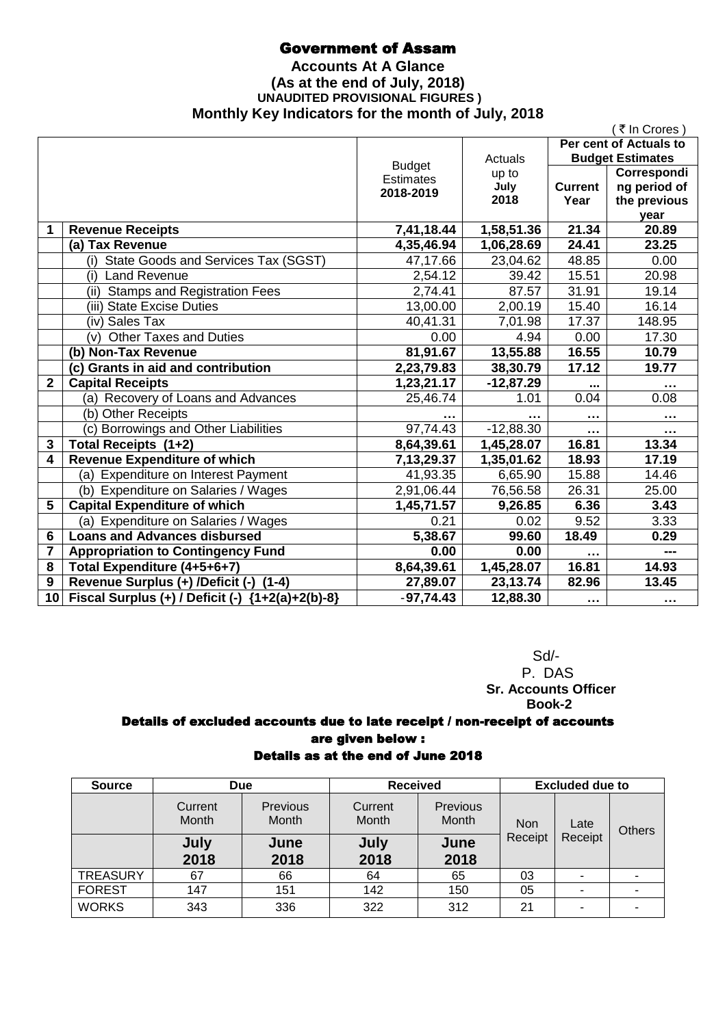## Government of Assam

### **Accounts At A Glance (As at the end of July, 2018) UNAUDITED PROVISIONAL FIGURES ) Monthly Key Indicators for the month of July, 2018**

|                 |                                                    |                  |                      |                | ₹ In Crores)            |
|-----------------|----------------------------------------------------|------------------|----------------------|----------------|-------------------------|
|                 |                                                    |                  |                      |                | Per cent of Actuals to  |
|                 |                                                    | <b>Budget</b>    | Actuals              |                | <b>Budget Estimates</b> |
|                 |                                                    | <b>Estimates</b> | up to                |                | Correspondi             |
|                 |                                                    | 2018-2019        | July                 | <b>Current</b> | ng period of            |
|                 |                                                    |                  | 2018                 | Year           | the previous            |
| 1               | <b>Revenue Receipts</b>                            | 7,41,18.44       | 1,58,51.36           | 21.34          | year<br>20.89           |
|                 | (a) Tax Revenue                                    | 4,35,46.94       | 1,06,28.69           | 24.41          | 23.25                   |
|                 | (i) State Goods and Services Tax (SGST)            | 47,17.66         | 23,04.62             | 48.85          | 0.00                    |
|                 | (i) Land Revenue                                   | 2,54.12          | 39.42                | 15.51          | 20.98                   |
|                 | <b>Stamps and Registration Fees</b><br>(ii)        | 2,74.41          | 87.57                | 31.91          | 19.14                   |
|                 | (iii) State Excise Duties                          | 13,00.00         | 2,00.19              | 15.40          | 16.14                   |
|                 | (iv) Sales Tax                                     | 40,41.31         | $\overline{7,01.98}$ | 17.37          | 148.95                  |
|                 | <b>Other Taxes and Duties</b><br>(v)               | 0.00             | 4.94                 | 0.00           | 17.30                   |
|                 | (b) Non-Tax Revenue                                | 81,91.67         | 13,55.88             | 16.55          | 10.79                   |
|                 | (c) Grants in aid and contribution                 | 2,23,79.83       | 38,30.79             | 17.12          | 19.77                   |
| $\overline{2}$  | <b>Capital Receipts</b>                            | 1,23,21.17       | $-12,87.29$          |                | $\sim$ 0.00             |
|                 | (a) Recovery of Loans and Advances                 | 25,46.74         | 1.01                 | 0.04           | 0.08                    |
|                 | (b) Other Receipts                                 |                  |                      | $\cdots$       | $\cdots$                |
|                 | (c) Borrowings and Other Liabilities               | 97,74.43         | $-12,88.30$          |                |                         |
| $\overline{3}$  | Total Receipts (1+2)                               | 8,64,39.61       | 1,45,28.07           | 16.81          | 13.34                   |
| 4               | <b>Revenue Expenditure of which</b>                | 7,13,29.37       | 1,35,01.62           | 18.93          | 17.19                   |
|                 | (a) Expenditure on Interest Payment                | 41,93.35         | 6,65.90              | 15.88          | 14.46                   |
|                 | (b) Expenditure on Salaries / Wages                | 2,91,06.44       | 76,56.58             | 26.31          | 25.00                   |
| 5               | <b>Capital Expenditure of which</b>                | 1,45,71.57       | 9,26.85              | 6.36           | 3.43                    |
|                 | (a) Expenditure on Salaries / Wages                | 0.21             | 0.02                 | 9.52           | 3.33                    |
| $6\phantom{1}6$ | <b>Loans and Advances disbursed</b>                | 5,38.67          | 99.60                | 18.49          | 0.29                    |
| 7               | <b>Appropriation to Contingency Fund</b>           | 0.00             | 0.00                 | $\cdots$       | ---                     |
| 8               | Total Expenditure (4+5+6+7)                        | 8,64,39.61       | 1,45,28.07           | 16.81          | 14.93                   |
| 9               | Revenue Surplus (+) /Deficit (-) (1-4)             | 27,89.07         | 23,13.74             | 82.96          | 13.45                   |
| 10              | Fiscal Surplus (+) / Deficit (-) ${1+2(a)+2(b)-8}$ | $-97,74.43$      | 12,88.30             | $\cdots$       | $\sim$ $\sim$ $\sim$    |

 Sd/- P. DAS  **Sr. Accounts Officer Book-2**

## Details of excluded accounts due to late receipt / non-receipt of accounts are given below :

## Details as at the end of June 2018

| <b>Source</b>   | <b>Due</b>       |                   | <b>Received</b>  |                          | <b>Excluded due to</b> |         |  |  |  |  |  |      |               |
|-----------------|------------------|-------------------|------------------|--------------------------|------------------------|---------|--|--|--|--|--|------|---------------|
|                 | Current<br>Month | Previous<br>Month | Current<br>Month | Previous<br><b>Month</b> | <b>Non</b>             |         |  |  |  |  |  | Late | <b>Others</b> |
|                 | July<br>2018     | June<br>2018      | July<br>2018     | June<br>2018             | Receipt                | Receipt |  |  |  |  |  |      |               |
| <b>TREASURY</b> | 67               | 66                | 64               | 65                       | 03                     |         |  |  |  |  |  |      |               |
| <b>FOREST</b>   | 147              | 151               | 142              | 150                      | 05                     |         |  |  |  |  |  |      |               |
| <b>WORKS</b>    | 343              | 336               | 322              | 312                      | 21                     |         |  |  |  |  |  |      |               |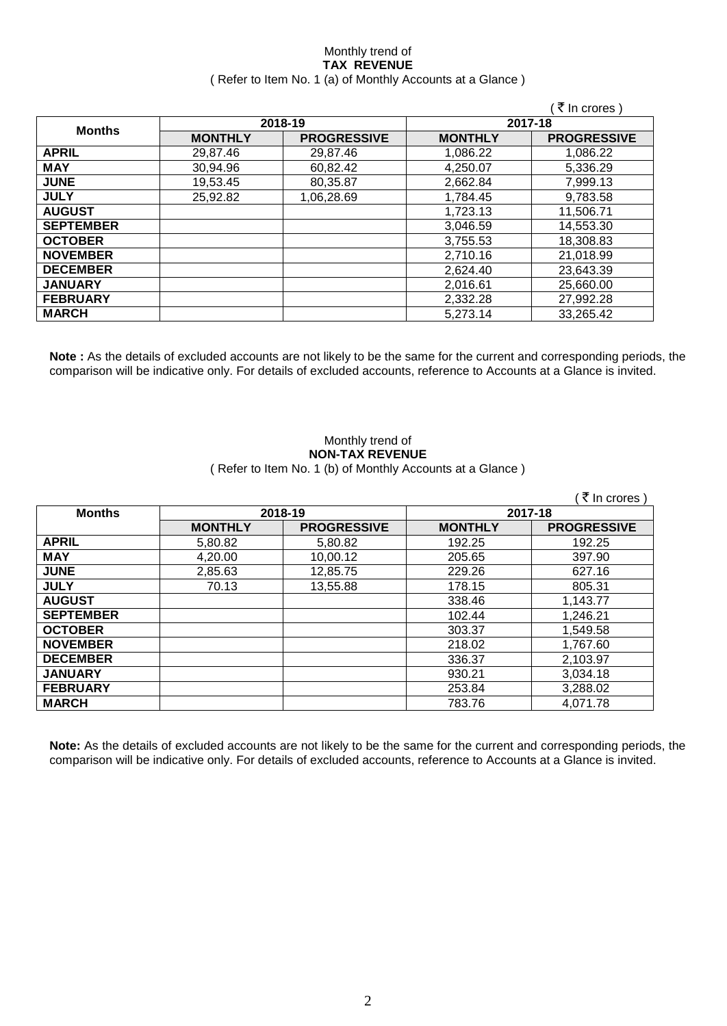#### Monthly trend of **TAX REVENUE** ( Refer to Item No. 1 (a) of Monthly Accounts at a Glance )

|                  |                |                    |                | ₹ In crores)       |
|------------------|----------------|--------------------|----------------|--------------------|
|                  |                | 2018-19            |                | 2017-18            |
| <b>Months</b>    | <b>MONTHLY</b> | <b>PROGRESSIVE</b> | <b>MONTHLY</b> | <b>PROGRESSIVE</b> |
| <b>APRIL</b>     | 29,87.46       | 29,87.46           | 1,086.22       | 1,086.22           |
| <b>MAY</b>       | 30,94.96       | 60,82.42           | 4,250.07       | 5,336.29           |
| <b>JUNE</b>      | 19,53.45       | 80,35.87           | 2,662.84       | 7,999.13           |
| <b>JULY</b>      | 25,92.82       | 1,06,28.69         | 1,784.45       | 9,783.58           |
| <b>AUGUST</b>    |                |                    | 1,723.13       | 11,506.71          |
| <b>SEPTEMBER</b> |                |                    | 3,046.59       | 14,553.30          |
| <b>OCTOBER</b>   |                |                    | 3,755.53       | 18,308.83          |
| <b>NOVEMBER</b>  |                |                    | 2,710.16       | 21,018.99          |
| <b>DECEMBER</b>  |                |                    | 2,624.40       | 23,643.39          |
| <b>JANUARY</b>   |                |                    | 2,016.61       | 25,660.00          |
| <b>FEBRUARY</b>  |                |                    | 2,332.28       | 27,992.28          |
| <b>MARCH</b>     |                |                    | 5,273.14       | 33,265.42          |

**Note :** As the details of excluded accounts are not likely to be the same for the current and corresponding periods, the comparison will be indicative only. For details of excluded accounts, reference to Accounts at a Glance is invited.

#### Monthly trend of **NON-TAX REVENUE** ( Refer to Item No. 1 (b) of Monthly Accounts at a Glance )

|                  |                |                    |                | ₹ In crores)       |
|------------------|----------------|--------------------|----------------|--------------------|
| <b>Months</b>    |                | 2018-19            | 2017-18        |                    |
|                  | <b>MONTHLY</b> | <b>PROGRESSIVE</b> | <b>MONTHLY</b> | <b>PROGRESSIVE</b> |
| <b>APRIL</b>     | 5,80.82        | 5,80.82            | 192.25         | 192.25             |
| <b>MAY</b>       | 4,20.00        | 10,00.12           | 205.65         | 397.90             |
| <b>JUNE</b>      | 2,85.63        | 12,85.75           | 229.26         | 627.16             |
| <b>JULY</b>      | 70.13          | 13,55.88           | 178.15         | 805.31             |
| <b>AUGUST</b>    |                |                    | 338.46         | 1,143.77           |
| <b>SEPTEMBER</b> |                |                    | 102.44         | 1,246.21           |
| <b>OCTOBER</b>   |                |                    | 303.37         | 1,549.58           |
| <b>NOVEMBER</b>  |                |                    | 218.02         | 1,767.60           |
| <b>DECEMBER</b>  |                |                    | 336.37         | 2,103.97           |
| <b>JANUARY</b>   |                |                    | 930.21         | 3,034.18           |
| <b>FEBRUARY</b>  |                |                    | 253.84         | 3,288.02           |
| <b>MARCH</b>     |                |                    | 783.76         | 4.071.78           |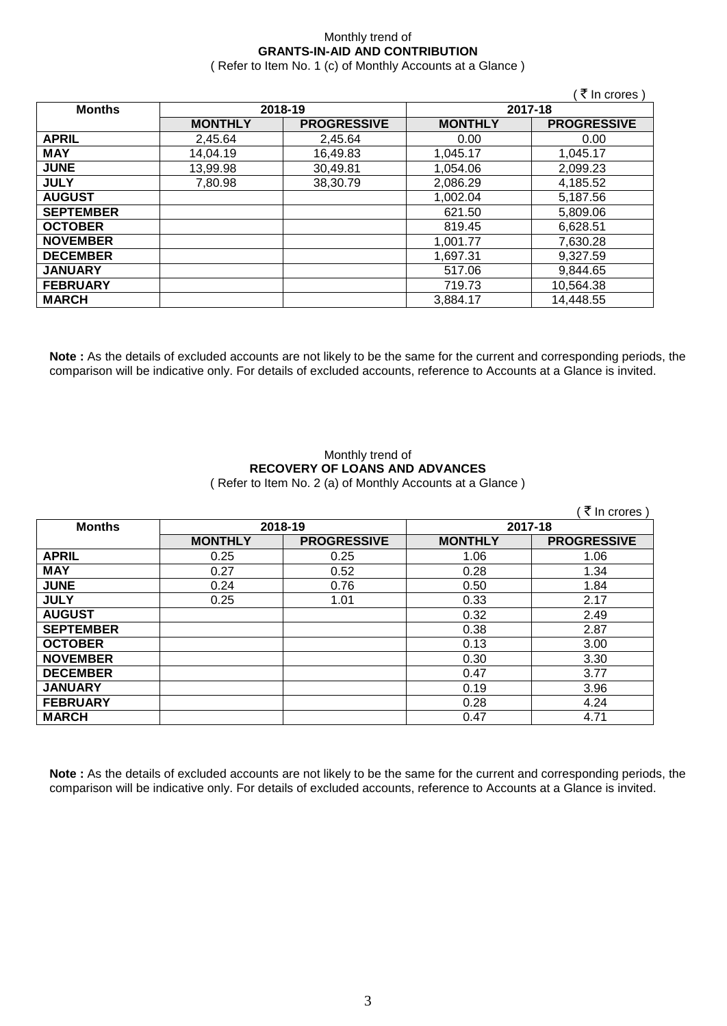### Monthly trend of **GRANTS-IN-AID AND CONTRIBUTION**

( Refer to Item No. 1 (c) of Monthly Accounts at a Glance )

 $\sqrt{7}$  In crores )

| <b>Months</b>    |                | 2018-19            | 2017-18        |                    |
|------------------|----------------|--------------------|----------------|--------------------|
|                  | <b>MONTHLY</b> | <b>PROGRESSIVE</b> | <b>MONTHLY</b> | <b>PROGRESSIVE</b> |
| <b>APRIL</b>     | 2,45.64        | 2,45.64            | 0.00           | 0.00               |
| <b>MAY</b>       | 14,04.19       | 16,49.83           | 1,045.17       | 1,045.17           |
| <b>JUNE</b>      | 13,99.98       | 30,49.81           | 1,054.06       | 2,099.23           |
| <b>JULY</b>      | 7,80.98        | 38,30.79           | 2,086.29       | 4,185.52           |
| <b>AUGUST</b>    |                |                    | 1,002.04       | 5,187.56           |
| <b>SEPTEMBER</b> |                |                    | 621.50         | 5,809.06           |
| <b>OCTOBER</b>   |                |                    | 819.45         | 6,628.51           |
| <b>NOVEMBER</b>  |                |                    | 1,001.77       | 7,630.28           |
| <b>DECEMBER</b>  |                |                    | 1,697.31       | 9,327.59           |
| <b>JANUARY</b>   |                |                    | 517.06         | 9,844.65           |
| <b>FEBRUARY</b>  |                |                    | 719.73         | 10,564.38          |
| <b>MARCH</b>     |                |                    | 3,884.17       | 14,448.55          |

**Note :** As the details of excluded accounts are not likely to be the same for the current and corresponding periods, the comparison will be indicative only. For details of excluded accounts, reference to Accounts at a Glance is invited.

# Monthly trend of **RECOVERY OF LOANS AND ADVANCES**

( Refer to Item No. 2 (a) of Monthly Accounts at a Glance )

|                  |                |                    |                | ₹ In crores)       |
|------------------|----------------|--------------------|----------------|--------------------|
| <b>Months</b>    |                | 2018-19            | 2017-18        |                    |
|                  | <b>MONTHLY</b> | <b>PROGRESSIVE</b> | <b>MONTHLY</b> | <b>PROGRESSIVE</b> |
| <b>APRIL</b>     | 0.25           | 0.25               | 1.06           | 1.06               |
| <b>MAY</b>       | 0.27           | 0.52               | 0.28           | 1.34               |
| <b>JUNE</b>      | 0.24           | 0.76               | 0.50           | 1.84               |
| <b>JULY</b>      | 0.25           | 1.01               | 0.33           | 2.17               |
| <b>AUGUST</b>    |                |                    | 0.32           | 2.49               |
| <b>SEPTEMBER</b> |                |                    | 0.38           | 2.87               |
| <b>OCTOBER</b>   |                |                    | 0.13           | 3.00               |
| <b>NOVEMBER</b>  |                |                    | 0.30           | 3.30               |
| <b>DECEMBER</b>  |                |                    | 0.47           | 3.77               |
| <b>JANUARY</b>   |                |                    | 0.19           | 3.96               |
| <b>FEBRUARY</b>  |                |                    | 0.28           | 4.24               |
| <b>MARCH</b>     |                |                    | 0.47           | 4.71               |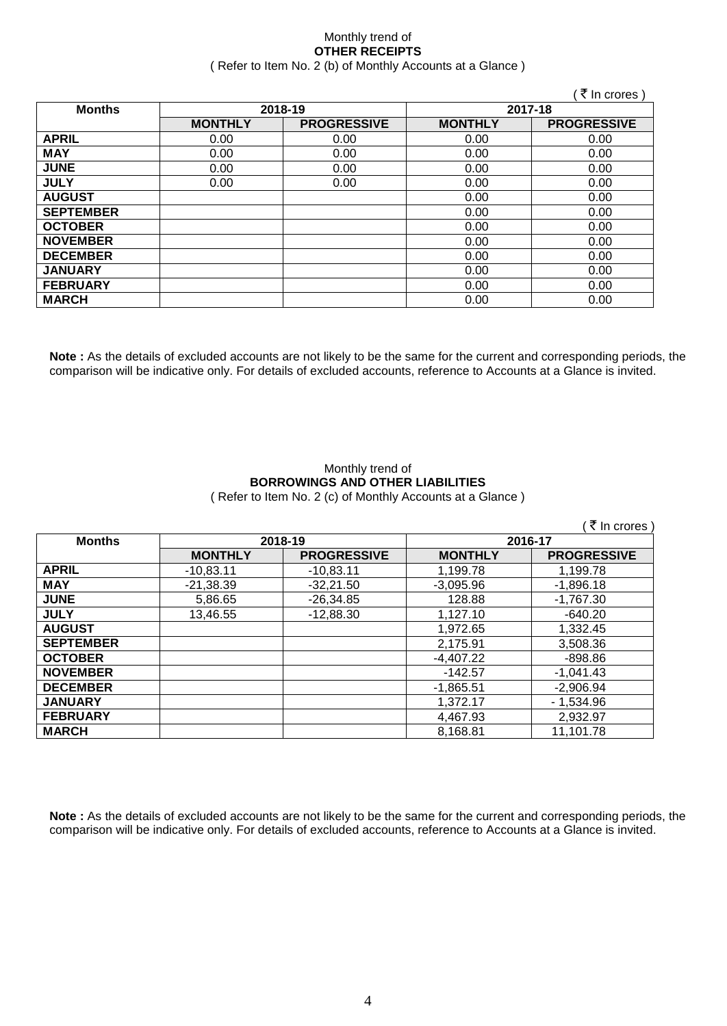#### Monthly trend of **OTHER RECEIPTS** ( Refer to Item No. 2 (b) of Monthly Accounts at a Glance )

|                  |                |                    |                | ( ₹ In crores )    |
|------------------|----------------|--------------------|----------------|--------------------|
| <b>Months</b>    |                | 2018-19            | 2017-18        |                    |
|                  | <b>MONTHLY</b> | <b>PROGRESSIVE</b> | <b>MONTHLY</b> | <b>PROGRESSIVE</b> |
| <b>APRIL</b>     | 0.00           | 0.00               | 0.00           | 0.00               |
| <b>MAY</b>       | 0.00           | 0.00               | 0.00           | 0.00               |
| <b>JUNE</b>      | 0.00           | 0.00               | 0.00           | 0.00               |
| <b>JULY</b>      | 0.00           | 0.00               | 0.00           | 0.00               |
| <b>AUGUST</b>    |                |                    | 0.00           | 0.00               |
| <b>SEPTEMBER</b> |                |                    | 0.00           | 0.00               |
| <b>OCTOBER</b>   |                |                    | 0.00           | 0.00               |
| <b>NOVEMBER</b>  |                |                    | 0.00           | 0.00               |
| <b>DECEMBER</b>  |                |                    | 0.00           | 0.00               |
| <b>JANUARY</b>   |                |                    | 0.00           | 0.00               |
| <b>FEBRUARY</b>  |                |                    | 0.00           | 0.00               |
| <b>MARCH</b>     |                |                    | 0.00           | 0.00               |

**Note :** As the details of excluded accounts are not likely to be the same for the current and corresponding periods, the comparison will be indicative only. For details of excluded accounts, reference to Accounts at a Glance is invited.

#### Monthly trend of **BORROWINGS AND OTHER LIABILITIES** ( Refer to Item No. 2 (c) of Monthly Accounts at a Glance )

|                  |                |                    |                | ( ₹ In crores)     |
|------------------|----------------|--------------------|----------------|--------------------|
| <b>Months</b>    | 2018-19        |                    | 2016-17        |                    |
|                  | <b>MONTHLY</b> | <b>PROGRESSIVE</b> | <b>MONTHLY</b> | <b>PROGRESSIVE</b> |
| <b>APRIL</b>     | $-10,83.11$    | $-10,83.11$        | 1,199.78       | 1,199.78           |
| <b>MAY</b>       | $-21,38.39$    | $-32,21.50$        | $-3.095.96$    | $-1,896.18$        |
| <b>JUNE</b>      | 5,86.65        | $-26,34.85$        | 128.88         | $-1,767.30$        |
| <b>JULY</b>      | 13,46.55       | $-12,88.30$        | 1.127.10       | $-640.20$          |
| <b>AUGUST</b>    |                |                    | 1,972.65       | 1,332.45           |
| <b>SEPTEMBER</b> |                |                    | 2.175.91       | 3,508.36           |
| <b>OCTOBER</b>   |                |                    | $-4.407.22$    | $-898.86$          |
| <b>NOVEMBER</b>  |                |                    | $-142.57$      | $-1.041.43$        |
| <b>DECEMBER</b>  |                |                    | $-1,865.51$    | $-2,906.94$        |
| <b>JANUARY</b>   |                |                    | 1.372.17       | $-1,534.96$        |
| <b>FEBRUARY</b>  |                |                    | 4.467.93       | 2.932.97           |
| <b>MARCH</b>     |                |                    | 8.168.81       | 11.101.78          |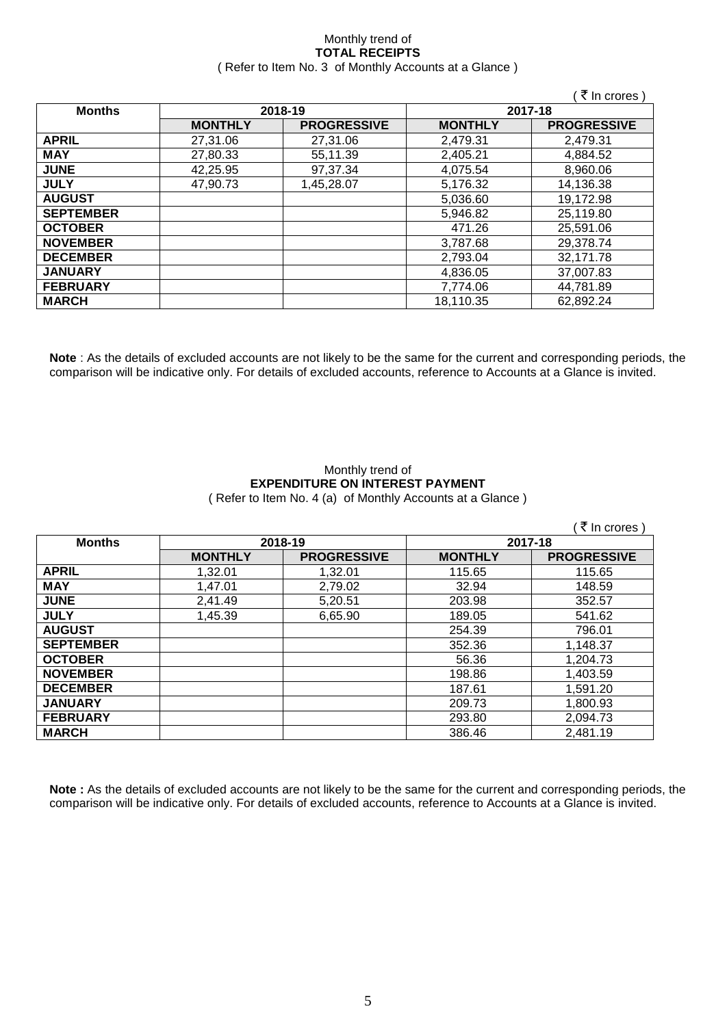#### Monthly trend of **TOTAL RECEIPTS** ( Refer to Item No. 3 of Monthly Accounts at a Glance )

|                  |                |                    |                | (₹ In crores)      |
|------------------|----------------|--------------------|----------------|--------------------|
| <b>Months</b>    |                | 2018-19            | 2017-18        |                    |
|                  | <b>MONTHLY</b> | <b>PROGRESSIVE</b> | <b>MONTHLY</b> | <b>PROGRESSIVE</b> |
| <b>APRIL</b>     | 27,31.06       | 27,31.06           | 2,479.31       | 2,479.31           |
| <b>MAY</b>       | 27,80.33       | 55,11.39           | 2,405.21       | 4,884.52           |
| <b>JUNE</b>      | 42,25.95       | 97,37.34           | 4,075.54       | 8,960.06           |
| <b>JULY</b>      | 47.90.73       | 1,45,28.07         | 5,176.32       | 14,136.38          |
| <b>AUGUST</b>    |                |                    | 5,036.60       | 19,172.98          |
| <b>SEPTEMBER</b> |                |                    | 5,946.82       | 25,119.80          |
| <b>OCTOBER</b>   |                |                    | 471.26         | 25,591.06          |
| <b>NOVEMBER</b>  |                |                    | 3,787.68       | 29,378.74          |
| <b>DECEMBER</b>  |                |                    | 2,793.04       | 32,171.78          |
| <b>JANUARY</b>   |                |                    | 4,836.05       | 37,007.83          |
| <b>FEBRUARY</b>  |                |                    | 7.774.06       | 44,781.89          |
| <b>MARCH</b>     |                |                    | 18.110.35      | 62,892.24          |

**Note** : As the details of excluded accounts are not likely to be the same for the current and corresponding periods, the comparison will be indicative only. For details of excluded accounts, reference to Accounts at a Glance is invited.

#### Monthly trend of **EXPENDITURE ON INTEREST PAYMENT** ( Refer to Item No. 4 (a) of Monthly Accounts at a Glance )

|                  |                |                    |                | (₹ In crores)      |
|------------------|----------------|--------------------|----------------|--------------------|
| <b>Months</b>    | 2018-19        |                    | 2017-18        |                    |
|                  | <b>MONTHLY</b> | <b>PROGRESSIVE</b> | <b>MONTHLY</b> | <b>PROGRESSIVE</b> |
| <b>APRIL</b>     | 1,32.01        | 1,32.01            | 115.65         | 115.65             |
| <b>MAY</b>       | 1,47.01        | 2,79.02            | 32.94          | 148.59             |
| <b>JUNE</b>      | 2,41.49        | 5,20.51            | 203.98         | 352.57             |
| <b>JULY</b>      | 1,45.39        | 6,65.90            | 189.05         | 541.62             |
| <b>AUGUST</b>    |                |                    | 254.39         | 796.01             |
| <b>SEPTEMBER</b> |                |                    | 352.36         | 1,148.37           |
| <b>OCTOBER</b>   |                |                    | 56.36          | 1,204.73           |
| <b>NOVEMBER</b>  |                |                    | 198.86         | 1,403.59           |
| <b>DECEMBER</b>  |                |                    | 187.61         | 1,591.20           |
| <b>JANUARY</b>   |                |                    | 209.73         | 1,800.93           |
| <b>FEBRUARY</b>  |                |                    | 293.80         | 2,094.73           |
| <b>MARCH</b>     |                |                    | 386.46         | 2,481.19           |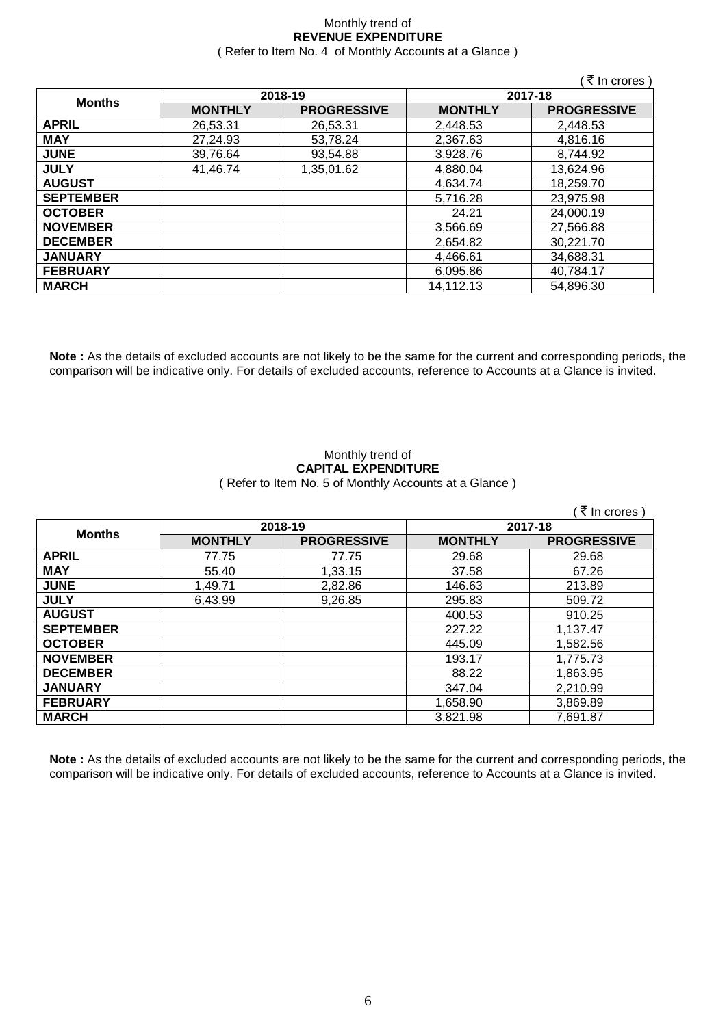#### Monthly trend of **REVENUE EXPENDITURE** ( Refer to Item No. 4 of Monthly Accounts at a Glance )

|                  |                |                    |                | ( ₹ In crores )    |
|------------------|----------------|--------------------|----------------|--------------------|
|                  |                | 2018-19            |                | 2017-18            |
| <b>Months</b>    | <b>MONTHLY</b> | <b>PROGRESSIVE</b> | <b>MONTHLY</b> | <b>PROGRESSIVE</b> |
| <b>APRIL</b>     | 26,53.31       | 26,53.31           | 2,448.53       | 2,448.53           |
| <b>MAY</b>       | 27,24.93       | 53,78.24           | 2,367.63       | 4,816.16           |
| <b>JUNE</b>      | 39,76.64       | 93,54.88           | 3,928.76       | 8,744.92           |
| <b>JULY</b>      | 41,46.74       | 1,35,01.62         | 4,880.04       | 13,624.96          |
| <b>AUGUST</b>    |                |                    | 4,634.74       | 18,259.70          |
| <b>SEPTEMBER</b> |                |                    | 5,716.28       | 23,975.98          |
| <b>OCTOBER</b>   |                |                    | 24.21          | 24,000.19          |
| <b>NOVEMBER</b>  |                |                    | 3,566.69       | 27,566.88          |
| <b>DECEMBER</b>  |                |                    | 2,654.82       | 30,221.70          |
| <b>JANUARY</b>   |                |                    | 4,466.61       | 34,688.31          |
| <b>FEBRUARY</b>  |                |                    | 6,095.86       | 40,784.17          |
| <b>MARCH</b>     |                |                    | 14,112.13      | 54,896.30          |

**Note :** As the details of excluded accounts are not likely to be the same for the current and corresponding periods, the comparison will be indicative only. For details of excluded accounts, reference to Accounts at a Glance is invited.

#### Monthly trend of **CAPITAL EXPENDITURE**  ( Refer to Item No. 5 of Monthly Accounts at a Glance )

|                  |                |                    |                | (₹ In crores)      |
|------------------|----------------|--------------------|----------------|--------------------|
|                  |                | 2018-19            | 2017-18        |                    |
| <b>Months</b>    | <b>MONTHLY</b> | <b>PROGRESSIVE</b> | <b>MONTHLY</b> | <b>PROGRESSIVE</b> |
| <b>APRIL</b>     | 77.75          | 77.75              | 29.68          | 29.68              |
| <b>MAY</b>       | 55.40          | 1,33.15            | 37.58          | 67.26              |
| <b>JUNE</b>      | 1,49.71        | 2,82.86            | 146.63         | 213.89             |
| <b>JULY</b>      | 6,43.99        | 9,26.85            | 295.83         | 509.72             |
| <b>AUGUST</b>    |                |                    | 400.53         | 910.25             |
| <b>SEPTEMBER</b> |                |                    | 227.22         | 1,137.47           |
| <b>OCTOBER</b>   |                |                    | 445.09         | 1,582.56           |
| <b>NOVEMBER</b>  |                |                    | 193.17         | 1,775.73           |
| <b>DECEMBER</b>  |                |                    | 88.22          | 1,863.95           |
| <b>JANUARY</b>   |                |                    | 347.04         | 2,210.99           |
| <b>FEBRUARY</b>  |                |                    | 1,658.90       | 3,869.89           |
| <b>MARCH</b>     |                |                    | 3,821.98       | 7,691.87           |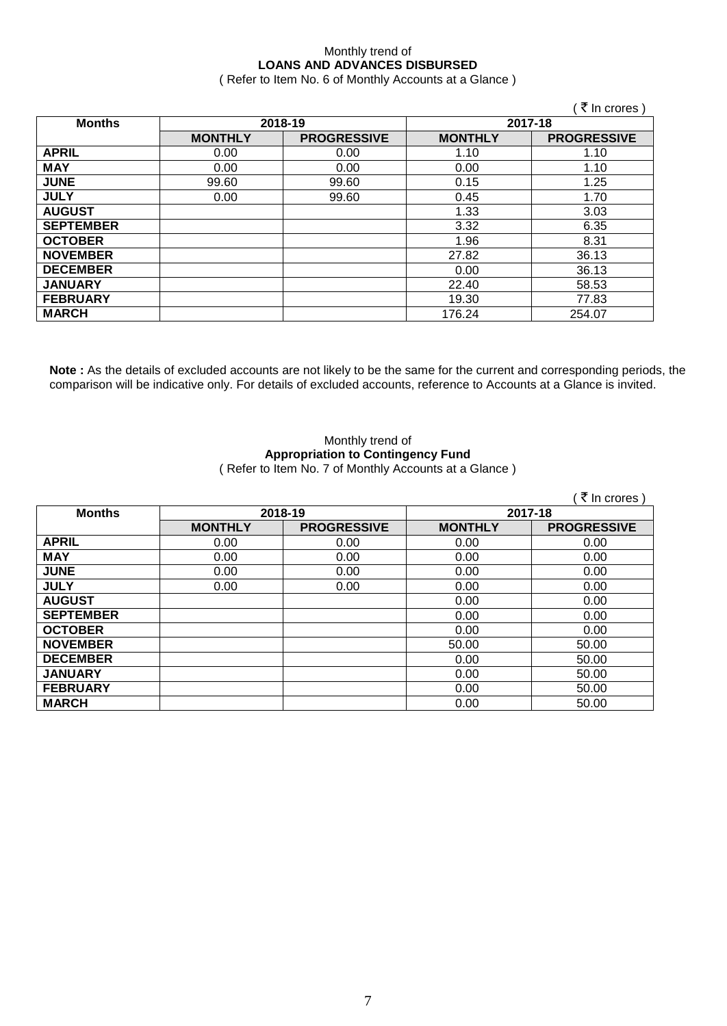### Monthly trend of **LOANS AND ADVANCES DISBURSED**

( Refer to Item No. 6 of Monthly Accounts at a Glance )

|                  |                |                    |                | (₹ In crores)      |
|------------------|----------------|--------------------|----------------|--------------------|
| <b>Months</b>    | 2018-19        |                    |                | 2017-18            |
|                  | <b>MONTHLY</b> | <b>PROGRESSIVE</b> | <b>MONTHLY</b> | <b>PROGRESSIVE</b> |
| <b>APRIL</b>     | 0.00           | 0.00               | 1.10           | 1.10               |
| <b>MAY</b>       | 0.00           | 0.00               | 0.00           | 1.10               |
| <b>JUNE</b>      | 99.60          | 99.60              | 0.15           | 1.25               |
| <b>JULY</b>      | 0.00           | 99.60              | 0.45           | 1.70               |
| <b>AUGUST</b>    |                |                    | 1.33           | 3.03               |
| <b>SEPTEMBER</b> |                |                    | 3.32           | 6.35               |
| <b>OCTOBER</b>   |                |                    | 1.96           | 8.31               |
| <b>NOVEMBER</b>  |                |                    | 27.82          | 36.13              |
| <b>DECEMBER</b>  |                |                    | 0.00           | 36.13              |
| <b>JANUARY</b>   |                |                    | 22.40          | 58.53              |
| <b>FEBRUARY</b>  |                |                    | 19.30          | 77.83              |
| <b>MARCH</b>     |                |                    | 176.24         | 254.07             |

**Note :** As the details of excluded accounts are not likely to be the same for the current and corresponding periods, the comparison will be indicative only. For details of excluded accounts, reference to Accounts at a Glance is invited.

#### Monthly trend of **Appropriation to Contingency Fund** ( Refer to Item No. 7 of Monthly Accounts at a Glance )

|                  |                |                    |                | ∶ ₹ In crores )    |
|------------------|----------------|--------------------|----------------|--------------------|
| <b>Months</b>    | 2018-19        |                    | 2017-18        |                    |
|                  | <b>MONTHLY</b> | <b>PROGRESSIVE</b> | <b>MONTHLY</b> | <b>PROGRESSIVE</b> |
| <b>APRIL</b>     | 0.00           | 0.00               | 0.00           | 0.00               |
| <b>MAY</b>       | 0.00           | 0.00               | 0.00           | 0.00               |
| <b>JUNE</b>      | 0.00           | 0.00               | 0.00           | 0.00               |
| <b>JULY</b>      | 0.00           | 0.00               | 0.00           | 0.00               |
| <b>AUGUST</b>    |                |                    | 0.00           | 0.00               |
| <b>SEPTEMBER</b> |                |                    | 0.00           | 0.00               |
| <b>OCTOBER</b>   |                |                    | 0.00           | 0.00               |
| <b>NOVEMBER</b>  |                |                    | 50.00          | 50.00              |
| <b>DECEMBER</b>  |                |                    | 0.00           | 50.00              |
| <b>JANUARY</b>   |                |                    | 0.00           | 50.00              |
| <b>FEBRUARY</b>  |                |                    | 0.00           | 50.00              |
| <b>MARCH</b>     |                |                    | 0.00           | 50.00              |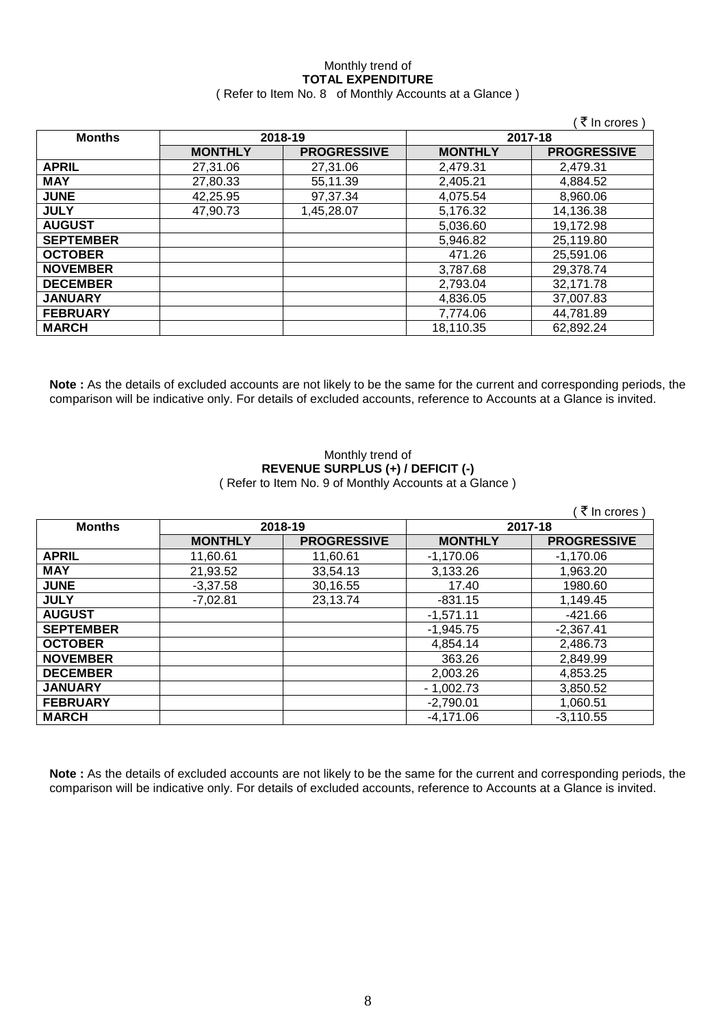#### Monthly trend of **TOTAL EXPENDITURE** ( Refer to Item No. 8 of Monthly Accounts at a Glance )

|                  |                |                    |                | (₹ In crores)      |
|------------------|----------------|--------------------|----------------|--------------------|
| <b>Months</b>    | 2018-19        |                    | 2017-18        |                    |
|                  | <b>MONTHLY</b> | <b>PROGRESSIVE</b> | <b>MONTHLY</b> | <b>PROGRESSIVE</b> |
| <b>APRIL</b>     | 27,31.06       | 27,31.06           | 2,479.31       | 2,479.31           |
| <b>MAY</b>       | 27,80.33       | 55,11.39           | 2,405.21       | 4,884.52           |
| <b>JUNE</b>      | 42,25.95       | 97,37.34           | 4,075.54       | 8,960.06           |
| <b>JULY</b>      | 47,90.73       | 1,45,28.07         | 5,176.32       | 14,136.38          |
| <b>AUGUST</b>    |                |                    | 5,036.60       | 19,172.98          |
| <b>SEPTEMBER</b> |                |                    | 5,946.82       | 25,119.80          |
| <b>OCTOBER</b>   |                |                    | 471.26         | 25,591.06          |
| <b>NOVEMBER</b>  |                |                    | 3,787.68       | 29,378.74          |
| <b>DECEMBER</b>  |                |                    | 2,793.04       | 32,171.78          |
| <b>JANUARY</b>   |                |                    | 4.836.05       | 37,007.83          |
| <b>FEBRUARY</b>  |                |                    | 7,774.06       | 44,781.89          |
| <b>MARCH</b>     |                |                    | 18,110.35      | 62,892.24          |

**Note :** As the details of excluded accounts are not likely to be the same for the current and corresponding periods, the comparison will be indicative only. For details of excluded accounts, reference to Accounts at a Glance is invited.

#### Monthly trend of **REVENUE SURPLUS (+) / DEFICIT (-)** ( Refer to Item No. 9 of Monthly Accounts at a Glance )

|                  |                |                    |                | ็ ₹ In crores )    |
|------------------|----------------|--------------------|----------------|--------------------|
| <b>Months</b>    | 2018-19        |                    | 2017-18        |                    |
|                  | <b>MONTHLY</b> | <b>PROGRESSIVE</b> | <b>MONTHLY</b> | <b>PROGRESSIVE</b> |
| <b>APRIL</b>     | 11,60.61       | 11,60.61           | $-1,170.06$    | $-1,170.06$        |
| <b>MAY</b>       | 21,93.52       | 33,54.13           | 3,133.26       | 1,963.20           |
| <b>JUNE</b>      | $-3,37.58$     | 30,16.55           | 17.40          | 1980.60            |
| <b>JULY</b>      | $-7,02.81$     | 23,13.74           | $-831.15$      | 1,149.45           |
| <b>AUGUST</b>    |                |                    | $-1,571.11$    | $-421.66$          |
| <b>SEPTEMBER</b> |                |                    | $-1,945.75$    | $-2,367.41$        |
| <b>OCTOBER</b>   |                |                    | 4.854.14       | 2,486.73           |
| <b>NOVEMBER</b>  |                |                    | 363.26         | 2,849.99           |
| <b>DECEMBER</b>  |                |                    | 2,003.26       | 4,853.25           |
| <b>JANUARY</b>   |                |                    | $-1,002.73$    | 3,850.52           |
| <b>FEBRUARY</b>  |                |                    | $-2,790.01$    | 1,060.51           |
| <b>MARCH</b>     |                |                    | $-4,171.06$    | $-3,110.55$        |